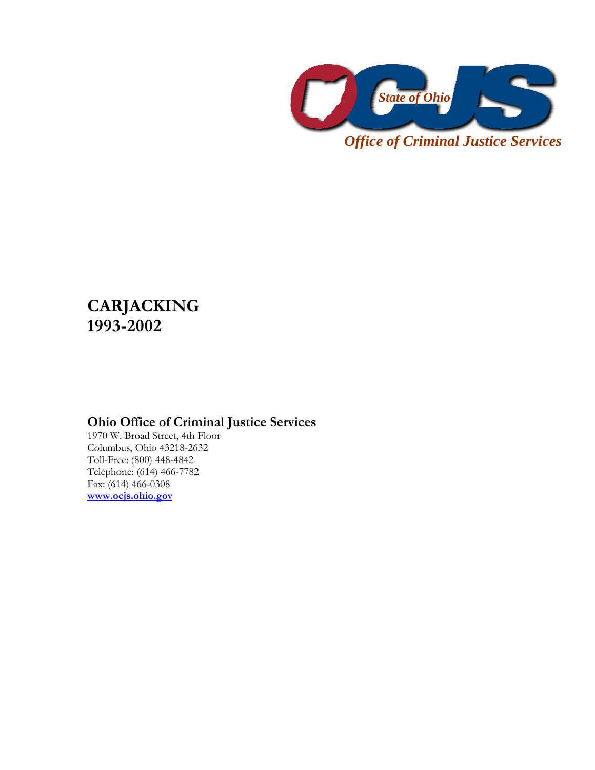

*Office of Criminal Justice Services* 

## **CARJACKING 1993-2002**

## **Ohio Office of Criminal Justice Services**

1970 W. Broad Street, 4th Floor Columbus, Ohio 43218-2632 Toll-Free: (800) 448-4842 Telephone: (614) 466-7782 Fax: (614) 466-0308 **www.ocjs.ohio.gov**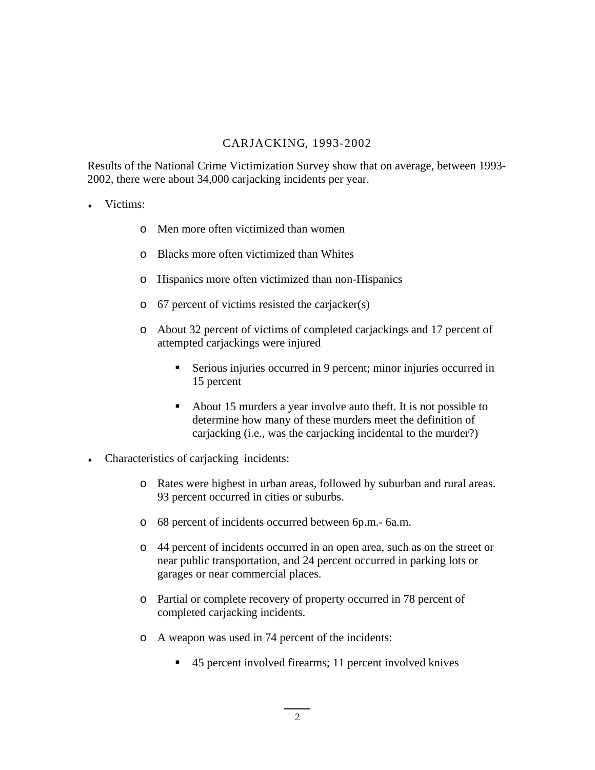## CARJACKING, 1993-2002

Results of the National Crime Victimization Survey show that on average, between 1993- 2002, there were about 34,000 carjacking incidents per year.

- Victims:
	- o Men more often victimized than women
	- o Blacks more often victimized than Whites
	- o Hispanics more often victimized than non-Hispanics
	- o 67 percent of victims resisted the carjacker(s)
	- o About 32 percent of victims of completed carjackings and 17 percent of attempted carjackings were injured
		- Serious injuries occurred in 9 percent; minor injuries occurred in 15 percent
		- About 15 murders a year involve auto theft. It is not possible to determine how many of these murders meet the definition of carjacking (i.e., was the carjacking incidental to the murder?)
- $\bullet$  Characteristics of carjacking incidents:
	- o Rates were highest in urban areas, followed by suburban and rural areas. 93 percent occurred in cities or suburbs.
	- o 68 percent of incidents occurred between 6p.m.- 6a.m.
	- o 44 percent of incidents occurred in an open area, such as on the street or near public transportation, and 24 percent occurred in parking lots or garages or near commercial places.
	- o Partial or complete recovery of property occurred in 78 percent of completed carjacking incidents.
	- o A weapon was used in 74 percent of the incidents:
		- 45 percent involved firearms; 11 percent involved knives